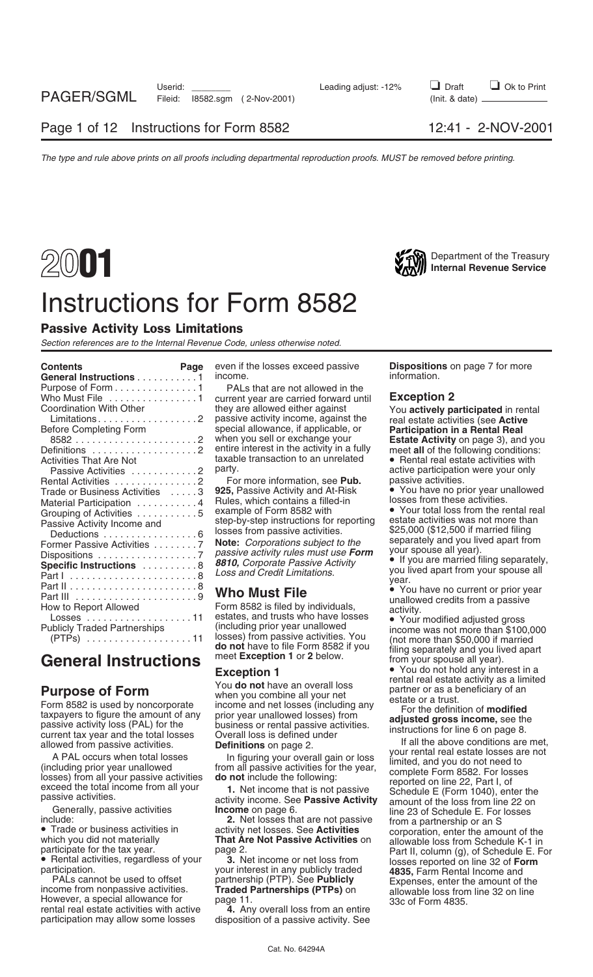## Department of the Treasury **2001 Internal Revenue Service** Instructions for Form 8582



### Passive Activity Loss Limitations

*Section references are to the Internal Revenue Code, unless otherwise noted.*

| <b>Contents</b><br>Page<br>General Instructions 1                                                                                                                                                                                                                                                                                                                            | even if the losses exceed passive<br>income.                                                                                                                                                                                                                                                                                                                                                                                                                                                                                                                                                                                       | <b>Dispositions</b> on page 7 for more<br>information.                                                                                                                                                                                                                                                                                                                                                                                                                                                                                                                                          |
|------------------------------------------------------------------------------------------------------------------------------------------------------------------------------------------------------------------------------------------------------------------------------------------------------------------------------------------------------------------------------|------------------------------------------------------------------------------------------------------------------------------------------------------------------------------------------------------------------------------------------------------------------------------------------------------------------------------------------------------------------------------------------------------------------------------------------------------------------------------------------------------------------------------------------------------------------------------------------------------------------------------------|-------------------------------------------------------------------------------------------------------------------------------------------------------------------------------------------------------------------------------------------------------------------------------------------------------------------------------------------------------------------------------------------------------------------------------------------------------------------------------------------------------------------------------------------------------------------------------------------------|
| Purpose of Form 1<br>Who Must File 1<br>Coordination With Other<br><b>Before Completing Form</b><br>85822<br>Definitions 2<br>Activities That Are Not<br>Passive Activities 2<br>Rental Activities 2<br>Trade or Business Activities 3<br>Material Participation 4<br>Grouping of Activities 5<br>Passive Activity Income and<br>Deductions 6<br>Former Passive Activities 7 | PALs that are not allowed in the<br>current year are carried forward until<br>they are allowed either against<br>passive activity income, against the<br>special allowance, if applicable, or<br>when you sell or exchange your<br>entire interest in the activity in a fully<br>taxable transaction to an unrelated<br>party.<br>For more information, see Pub.<br>925, Passive Activity and At-Risk<br>Rules, which contains a filled-in<br>example of Form 8582 with<br>step-by-step instructions for reporting<br>losses from passive activities.<br>Note: Corporations subject to the<br>passive activity rules must use Form | <b>Exception 2</b><br>You actively participated in rental<br>real estate activities (see Active<br><b>Participation in a Rental Real</b><br>Estate Activity on page 3), and you<br>meet all of the following conditions:<br>• Rental real estate activities with<br>active participation were your only<br>passive activities.<br>• You have no prior year unallowed<br>losses from these activities.<br>• Your total loss from the rental real<br>estate activities was not more than<br>\$25,000 (\$12,500 if married filing<br>separately and you lived apart from<br>your spouse all year). |
| Specific Instructions 8<br>Part I 8                                                                                                                                                                                                                                                                                                                                          | 8810, Corporate Passive Activity<br>Loss and Credit Limitations.                                                                                                                                                                                                                                                                                                                                                                                                                                                                                                                                                                   | • If you are married filing separately,<br>you lived apart from your spouse all<br>year.                                                                                                                                                                                                                                                                                                                                                                                                                                                                                                        |
| How to Report Allowed<br><b>Publicly Traded Partnerships</b>                                                                                                                                                                                                                                                                                                                 | <b>Who Must File</b><br>Form 8582 is filed by individuals,<br>estates, and trusts who have losses<br>(including prior year unallowed<br>losses) from passive activities. You<br><b>do not</b> have to file Form 8582 if you                                                                                                                                                                                                                                                                                                                                                                                                        | • You have no current or prior year<br>unallowed credits from a passive<br>activity.<br>• Your modified adjusted gross<br>income was not more than \$100,000<br>(not more than \$50,000 if married<br>filipe concretely and you lived aport                                                                                                                                                                                                                                                                                                                                                     |

PALs cannot be used to offset partnership (PTP). See **Publicly** Expenses, enter the amount of the income from nonpassive activities. **Traded Partnerships (PTPs)** on allowable loss from line 32 on line However, a special al However, a special allowance for page 11.<br>1336. The pays rental real estate activities with active **4.** Any overall loss from an entire rental real estate activities with active participation may allow some losses disposition of a passive activity. See

**Purpose of Form**<br>
Form stage of Form some the species of the particle of the set of a state of a trust.<br>
Faxpayers to figure the amount of any prior year and net losses (including any for the definition of **modified**<br>
tax

include:<br>• Trade or business activities in a activity net losses. See **Activities** corporation, enter the amount of the<br>which you did not materially **That Are Not Passive Activities** on allowable loss from Schedule K-1 in

rticipation. **your interest in any publicly traded**<br>PALs cannot be used to offset **483 beach and Rental Income and Rental Income and P** 

Publicly Traded Partnerships<br>
(PTPs)<br>
(PTPs)<br>
Ceneral Instructions<br>
Ceneral Instructions<br>
Exception 1 or 2 below.<br>
Exception 1<br>
Ceneral Instructions<br>
Exception 1<br>
Condo not hold any interest in a

**•** You do not hold any interest in a<br>rental real estate activity as a limited

passive activity income. See Passive Activity amount of the loss from line 22 on<br>Generally, passive activities **Income** on page 6. line 23 of Schedule E. For losses<br>**2.** Net losses that are not passive from a partnership o which you did not materially **That Are Not Passive Activities** on allowable loss from Schedule K-1 in<br>
page 2. Part II, column (g), of Schedule E. For **•** Part II, column (g), of Schedule E. For • Partal activities, regar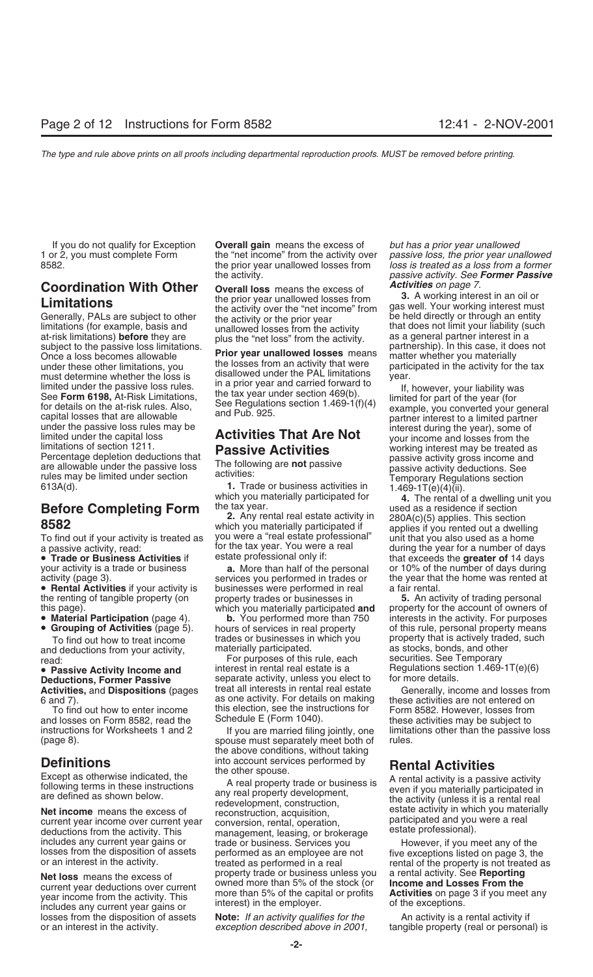Once a loss becomes allowable<br>
once a loss becomes allowable<br>
moder these other limitations, you<br>
moder these other limitations, you disallowed under the PAL limitations<br>
must determine whether the loss is<br>
disallowed unde

To find out if your activity is treated as you were a "real estate professional" unit that you also used as a home<br>The tax year. You were a real and the year for a number of da

- 
- 

and deductions from your activity, and the materially participated.<br>For purposes of this rule, each and securities. See Temporary

and losses on Form 8582, read the Schedule E (Form 1040). <br>instructions for Worksheets 1 and 2 lf vou are married filing jointly, one limitations other than the passive

losses from the disposition of assets **Note:** *If an activity qualifies for the* An activity is a rental activity if or an interest in the activity.<br> *exception described above in 2001*, tangible property (real or personal

If you do not qualify for Exception **Overall gain** means the excess of *but has a prior year unallowed* 1 or 2, you must complete Form the "net income" from the activity over *passive loss, the prior year unallowed* 8582. the prior year unallowed losses from *loss is treated as a loss from a former* the activity. *passive activity. See Former Passive*

**Coordination With Other Coordination With Other Coordination With Other** the prior year unallowed losses from the activity over the "net income" from gas well. Your working interest in an oil or the activity over the

**2. Any rental real estate activity is treated as** which you materially participated if applies if you rented out a dwelling<br>To find out if your activity is treated as you were a "real estate professional" unit that you al

your activity is a trade or business **a.** More than half of the personal or 10% of the number of days during activity (page 3).<br>services you performed in trades or the year that the home was rented at **• Rental Activities** if your activity is businesses were performed in real a fair rental.<br>
the renting of tangible property (on property trades or businesses in **5.** An activity of trading personal

this page). which you materially participated **and**<br>• Material Participation (page 4). b. You performed more than 750 • **Grouping of Activities** (page 5). hours of services in real property of this rule, personal property means To find out how to treat income trades or businesses in which you broperty that is actively traded, such that is actively traded, such as stocks, bonds, and other

For purposes of this rule, each<br>
• Passive Activity Income and interest in rental real estate is a • **Passive Activity Income and** interest in rental real estate is a Regulations section 1.469-1T(e)(6)<br>**Deductions, Former Passive** separate activity, unless you elect to for more details. separate activity, unless you elect to for more details.<br>treat all interests in rental real estate **Generally, income and losses from Activities,** and **Dispositions** (pages treat all interests in rental real estate Generally, income and losses from<br>6 and 7). as one activity. For details on making these activities are not entered on 6 and 7).<br>
For details on making these activities are not entered on To find out how to enter income this election, see the instructions for Form 8582. However, losses from

(page 8). spouse must separately meet both of rules. the above conditions, without taking **Definitions** into account services performed by

Except as otherwise indicated, the<br>following terms in these instructions<br>are defined as shown below.<br>**Net income** means the excess of<br>current year income over current year<br>deductions from the activity. This management, lea includes any current year gains or trade or business. Services you and the However, if you meet any of the losses from the disposition of assets performed as an employee are not five exceptions listed on page 3, the treate **Net loss** means the excess of property trade or business unless you a rental activity. See **Reporting**<br>current year deductions over current wore than 5% of the stock (or **lncome and Losses From the**<br>year income from the a

which you materially participated for **the tax year.**<br>Before Completing Form the tax year.<br>2. Any rental real estate activity in 280A(c)(5) applies. This section a passive activity, read:<br> **• Trade or Business Activities** if estate professional only if: but are that exceeds the **greater of** 14 days <br>
your activity is a trade or business **a.** More than half of the personal or 10% of services you performed in trades or the year that the home was rented at businesses were performed in real at a

the renting of tangible property (on property trades or businesses in **5.** An activity of trading personal this page).<br>
which you materially participated **and** property for the account of owners of interests in the activity. For purposes

If you are married filing jointly, one limitations other than the passive loss

**Rental Activities**<br>A rental activity is a passive activity

or an interest in the activity. *exception described above in 2001,* tangible property (real or personal) is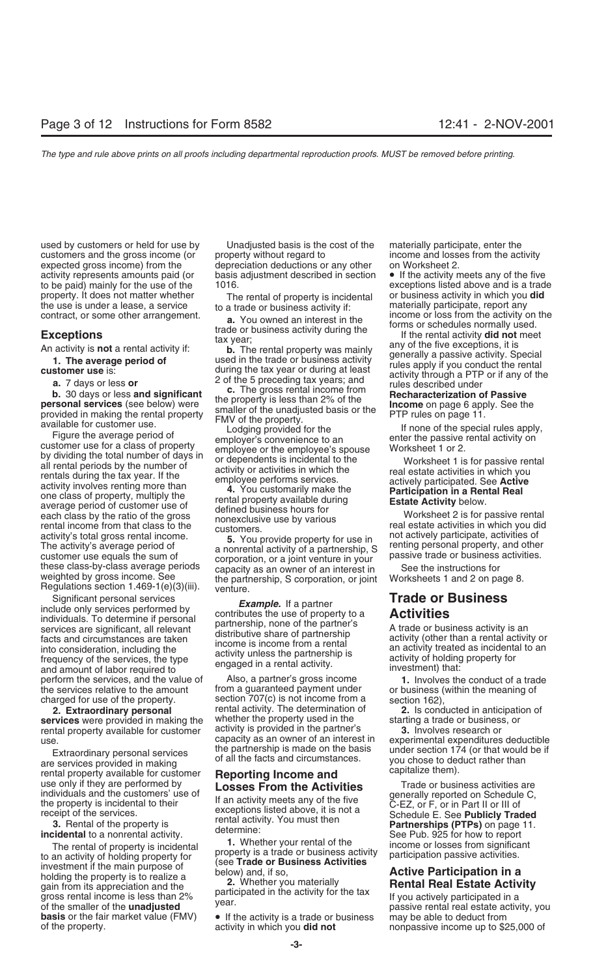used by customers or held for use by Unadjusted basis is the cost of the materially participate, enter the property. It does not matter whether The rental of property is incidental or business activity in which you **did**<br>the use is under a lease, a service to a trade or business activity if: materially participate, report any

contract, or some other arrangement.<br> **Exceptions**<br> **Exceptions**<br> **Exceptions**<br> **Exceptions**<br> **Exceptions**<br> **Exceptions**<br> **Exceptions**<br> **Exceptions**<br> **Exceptions**<br> **Exceptions**<br> **Exceptions**<br> **Exceptions**<br> **Exceptions**<br> **E** 

Significant personal services<br>include only services performed by<br>individuals. To determine if personal<br>services are significant, all relevant<br>facts and circumstances are taken<br>into consideration, including the<br>frequency of perform the services, and the value of Also, a partner's gross income **1.** Involves the conduct of a trade the services relative to the amount from a guaranteed payment under or business (within the meaning of charged for use of the property. section  $707(c)$  is not income from a section 162)

**services** were provided in making the whether the property used in the starting a trade or busines.<br>The starting a trade or businest provided in the partner's **1.** Involves research or rental property available for customer activity is provided in the partner's **3.** Involves research or<br>capacity as an owner of an interest in experimental expenditures deductible

Extraordinary personal services<br>
Extraordinary personal services<br>
are services provided in making<br>
the partnership is made on the basis<br>
of all the facts and circumstances.<br>
Trade or business activities are<br>
the partnershi

moting the property is to realize a<br>gain from its appreciation and the participated in the activity for the tax<br>of the smaller of the **unadjusted** year.<br>of the smaller of the **unadjusted** year.<br>of the smaller of the **unadj** 

customers and the gross income (or property without regard to income and losses from the activity expected gross income) from the depreciation deductions or any other on Worksheet 2. activity represents amounts paid (or basis adjustment described in section • If the activity meets any of the five

these class-by-class average periods<br>weighted by gross income. See the partnership, S corporation, or joint Worksheets 1 and 2 on page 8.<br>Regulations section 1.469-1(e)(3)(iii). venture.<br>Significant personal services

**2. Extraordinary personal** rental activity. The determination of **2.** Is conducted in anticipation of

The rental of property is incidental<br>to an activity of holding property for<br>investment if the main purpose of<br>holding the property is to realize a<br>holding the property is to realize a<br>tholding the property is to realize a<br>

to be paid) mainly for the use of the 1016. exceptions listed above and is a trade the use is under a lease, a service to a trade or business activity if: materially participate, report any<br>contract, or some other arrangement.

or business (within the meaning of

individuals and the customers' use of<br>
the property is incidental to their<br>
receipt of the services.<br> **3.** Rental of the property is<br>
incidental to a nonrental activity.<br> **3.** Rental of the property is<br>
incidental to a non

of the smaller of the **unadjusted** basis or the fair market value (FMV) • If the activity is a trade or business may be able to deduct from **basis** or the fair market value (FMV) • If the activity is a trade or business ma nonpassive income up to \$25,000 of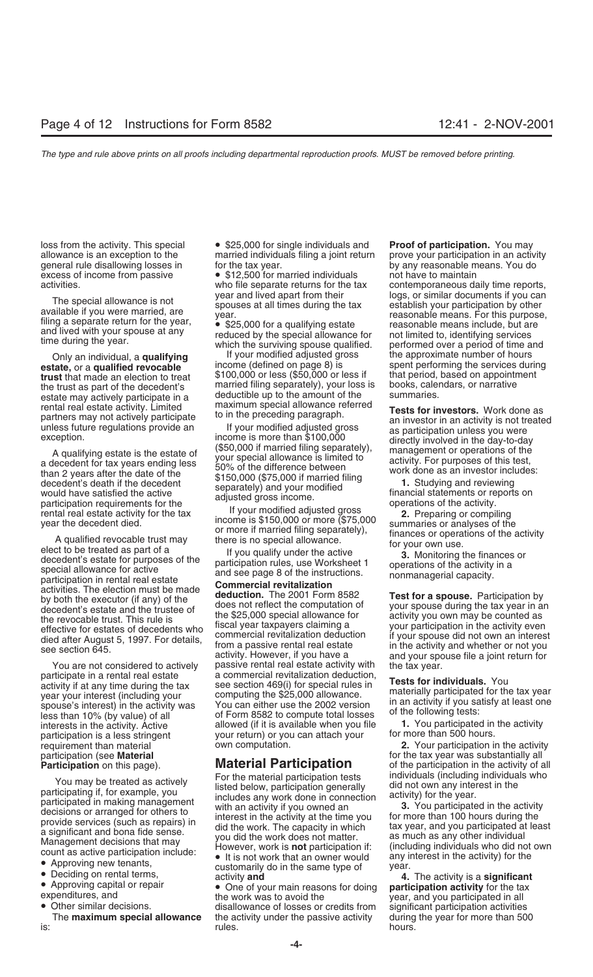A qualifying estate is the estate of  $(90\% + 0.00)$  if married filing separately), management or operations of the space of this test, a decoedent's death if the decoedent of the difference between  $(90\% + 0.00)$  and revi

participation is a less stringent your return) or you can attach your requirement than material your computation.

- 
- 

loss from the activity. This special **•** \$25,000 for single individuals and **Proof of participation.** You may allowance is an exception to the married individuals filing a joint return prove your participation in an activi married individuals filing a joint return general rule disallowing losses in for the tax year. by any reasonable means. You do

excess of income from passive • \$12,500 for married individuals not have to maintain

Only an individual, a **qualifying** If your modified adjusted gross the approximate number of hours<br>estate, or a qualified revocable income (defined on page 8) is seent performing the services dur **trust** that made an election to treat  $$100,000$  or less (\$50,000 or less if that period, based on appointment the trust as part of the decedent's married filing separately), your loss is books, calendars, or narrative the trust as part of the decedent's married filing separately), your loss is books, calendars, or narratively participate in a deductible up to the amount of the summaries. estate may actively participate in a deductible up to the amount of the summarial real estate activity. I imited maximum special allowance referred

activity. However, if you have a and your spouse file a joint return for<br>You are not considered to actively passive rental real estate activity with the tax year.<br>The tax year. participate in a rental real estate a commercial revitalization deduction,<br>activity if at any time during the tax see section 469(i) for special rules in<br>year your interest (including your computing the \$25,000 allowance.<br> you was you interest the activity was spouse's interest) in the activity was you can either use the 2002 version in an activity if you satisfy at least one less than 10% (by value) of all of Form 8582 to compute total loss interests in the activity. Active allowed (if it is available when you file **1.** You participated in the activity. Active and allowed (if it is available when you file **1.** You participated in the activity of vour return)

You may be treated as actively<br>
participating if, for example, you<br>
listed below, participation denerally<br>
participation in colled some work done in comection<br>
participated in making management<br>
with an activity if you own

• Approving capital or repair<br>
• One of your main reasons for doing **participation activity** for the tax<br>
• Other similar decisions.<br>
• Other similar decisions.<br>
The **maximum special allowance** the activity under the passi the activity under the passive activity during the year for more than 500 is: hours. hours. The main of the main of the main of the main of the main of the main of the main of the main

activities. who file separate returns for the tax contemporaneous daily time reports, The special allowance is not<br>available if you were married, are<br>filing a separate return for the year,<br>and lived with your spouses at all times during the tax<br>and lived with your spouse at any<br>time during the year.<br>time du spent performing the services during<br>that period, based on appointment

Frental real estate activity. Limited maximum special allowance referred<br>partners may not actively participate to in the preceding paragraph.<br>unless future regulations provide an investor is more than \$100,000<br>exception.<br>a

requirement than material own computation. **2.** Your participation in the activity participation (see **Material dependent in the Septian** for the tax year was substantially all<br>**Participation** on this page). **Material Participation** of the participation in the activity of all **Participation** on this page). **Material Participation** of the participation in the activity of all **Material Participation** of the participation in the activity of all **For the material participation** tests individuals (i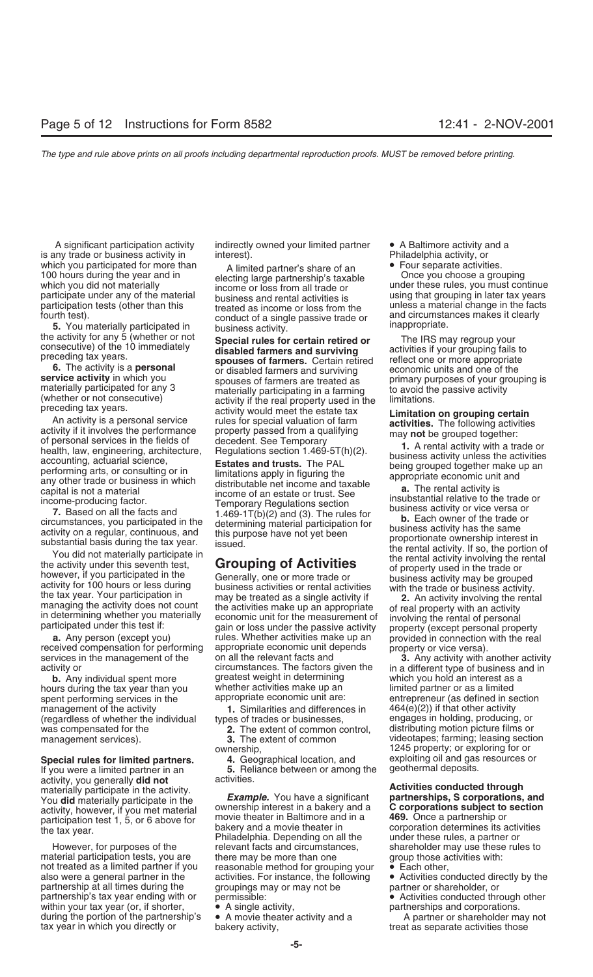is any trade or business activity in which you participated for more than<br>
100 hours during the year and in<br>
which you did not materially<br>
participation tests (other than this<br>
treated as income or loss from the<br>
trated as income or loss from the<br>
participati

preceding tax years.<br>
activity would meet the estate tax<br>
activity would meet the estate tax<br>
activity is a personal service<br>
activity is a personal service<br>
activity is a personal service<br>
activity is a personal service<br>

hours during the tax year than you whether activities make up an<br>spent performing services in the appropriate economic unit are: spent performing services in the appropriate economic unit are: entrepreneur (as defined in section management of the activity  $\qquad \qquad 1$ . Similarities and differences in  $\qquad \qquad 464(e)(2)$  if that other activity management of the activity **1.** Similarities and differences in 464(e)(2)) if that other activity<br>(regardless of whether the individual types of trades or businesses, en engages in holding, producing, or (regardless of whether the individual types of trades or businesses, engages in holding, producing, or<br>was compensated for the **2.** The extent of common control distributing motion picture films or was compensated for the **2.** The extent of common control, management services). **2.** The extent of common management services). **3.** The extent of common videotapes; farming; leasing section

**1.** If you were a limited partner in an **5.** Rel activities. activity, you generally did not

material participation tests, you are there may be more than one group those activities with:<br>not treated as a limited partner if you reasonable method for grouping your  $\bullet$  Each other. not treated as a limited partner if you reasonable method for grouping your  $\bullet$  also were a general partner in the activities. For instance, the following  $\bullet$ partnership at all times during the groupings may or may not be partner or shareholder, or partnership's tax year ending with or permissible: • • • • • • • Activities conducted through other within your tax year (or, if shorter,  $\bullet \bullet$  A single activity,  $\bullet \bullet$  partnerships and corporations. within your tax year (or, if shorter,  $\bullet$  A single activity,  $\rho$  and partnerships and corporations.<br>
during the portion of the partnership's  $\bullet$  A movie theater activity and a a compartner or shareholder may not during the portion of the partnership's tax year in which you directly or

A significant participation activity indirectly owned your limited partner • A Baltimore activity and a have traded partner interest).

Fourth test).<br>
S. You materially participated in<br>
the activity for any 5 (whether or not<br>
consecutive) of the 10 immediately<br>
preceding tax years.<br> **Special rules for certain retired or**<br> **Special rules for certain retired** service activity in which you<br>materially participated for any 3<br>(whether or not consecutive) activity if the real property used in the limitations.

**a.** Any person (except you) rules. Whether activities make up an provided in connection with the real represention with the real represented compensation for performing appropriate economic unit depends appropriate or vic received compensation for performing appropriate economic unit depends property or vice versa).<br>services in the management of the on all the relevant facts and **3.** Any activity with a services in the management of the on all the relevant facts and **3.** Any activity with another activity<br>activity or circumstances. The factors given the in a different type of business and in circumstances. The factors given the in a different type of business and in greatest weight in determining sum which you hold an interest as a **b.** Any individual spent more greatest weight in determining which you hold an interest as a<br>urs during the tax year than you whether activities make up an limited partner or as a limited

**Special rules for limited partners. 4.** Geographical location, and exploiting oil and gas resources or annough-<br>If you were a limited partner in an **5.** Reliance between or among the geothermal deposits.

You did materially participate in the **Example.** You have a significant **partnerships, S corporations, and** activity, however, if you met material ownership interest in a bakery and a **C corporations subject to section** pa However, for purposes of the relevant facts and circumstances, shareholder may use these rules to

- 
- 

ownership,<br>**4.** Geographical location, and exploiting oil and gas resources or

### materially participate in the activity.<br>
You **did** materially participate in the **Example.** You have a significant **partnerships, S corporations, and** You did materially participate in the

• Activities conducted directly by the

bakery activity, the which you direct as separate activities those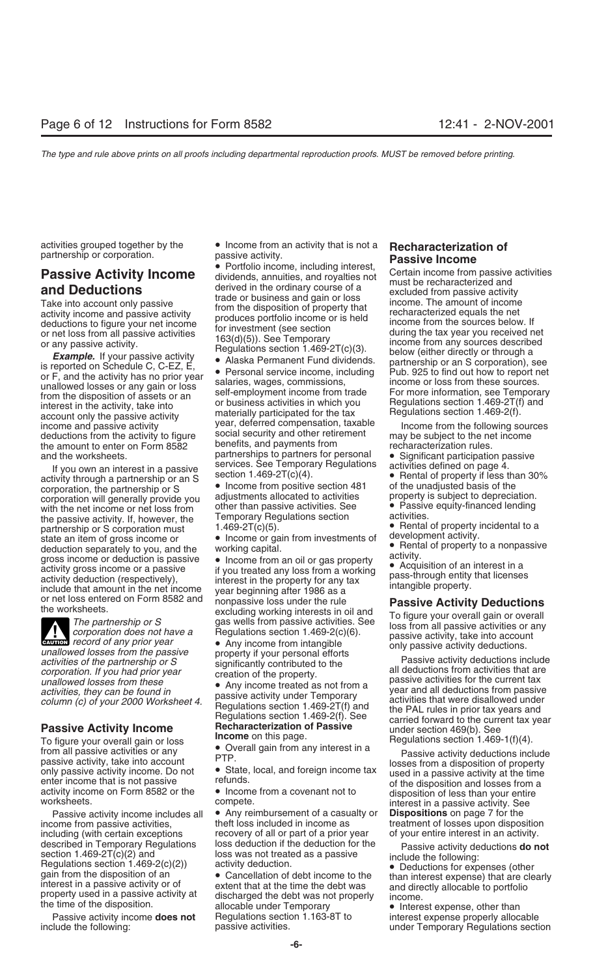activity through a partnership or an S section 1.469-2T(c)(4).<br> **Exercise 1.469-2T(c)(4).** • **Property if less than 30%**<br> **Corporation** the partnership or S • Income from positive section 481 of the unadjusted basis of the exporation, the partnership or S<br>
corporation will generally provide you adjustments allocated to activities property is subject to depreciation.<br>
with the net income or net loss from other than passive activities. See Pas with the net income or net loss from other than passive activities. See • Passive the passive activity. If, however, the Temporary Regulations section activities. the passive activity. If, however, the Temporary Regulations section<br>partnership or S corporation must  $1.469-2T(c)(5)$ .<br>state an item of gross income or  $\bullet$  Income or gain from investments of development activity.

**ENTION** record of any prior year

To figure your overall gain or loss<br>from all passive activities or any<br>passive activity, take into account<br>only passive activity income. Do not<br>example the state, local, and foreign income tax losses from a disposition of

described in Temporary Regulations loss deduction if the deduction for the section 1.469-2T(c)(2) and loss was not treated as a passive include the following:<br>
Regulations section 1.469-2(c)(2)) activity deduction. <br>
gain

activities grouped together by the • Income from an activity that is not a **Recharacterization of**

income and passive activity be the social security and other retirement<br>deductions from the activity to figure social security and other retirement<br>the amount to enter on Form 8582 benefits, and payments from recharacteriz the amount to enter on Form 8582 benefits, and payments from recharacterization rules.<br>partnerships to partners for personal  $\bullet$  Significant participation and the worksheets. partnerships to partners for personal • Significant participation passive<br>If you own an interest in a passive services. See Temporary Regulations activities defined on page 4.<br>Rental of property if less

deduction separately to you, and the<br>
artienting capital. The mission of the set of property of a nonpassive<br>
activity gross income or a passive<br>
activity deduction is passive<br>
activity deduction (respectively),<br>
interest

income from passive activities, theft loss included in income as treatment of losses upon disposition<br>including (with certain exceptions recovery of all or part of a prior year of your entire interest in an activity. including (with certain exceptions recovery of all or part of a prior year of your entire interest in an activity.<br>described in Temporary Regulations loss deduction if the deduction for the passive activity deductions **do** 

Passive activity income **does not** Regulations section 1.163-8T to interest expense properly allocable<br>include the following: passive activities. expense properly allocable<br>under Temporary Regulations section

partnership or corporation.<br> **Passive Activity Income**<br> **Passive Activity Income**<br> **Passive Activity Income**<br> **Passive Activity Income**<br> **Conditions**<br> **Conditions**<br> **Conditions**<br> **Conditions**<br> **Conditions**<br> **Conditions**<br>

- 
- 
- 
- 
- 
- 

Grandflowed losses from the passive activities of the partnership or S<br>
activities of the partnership or S<br>
activities of the partnership or S<br>
corporation. If you had prior year<br>
creation of the property.<br>
anallowed losse

Passive activity income includes all • Any reimbursement of a casualty or **Dispositions** on page 7 for the

under Temporary Regulations section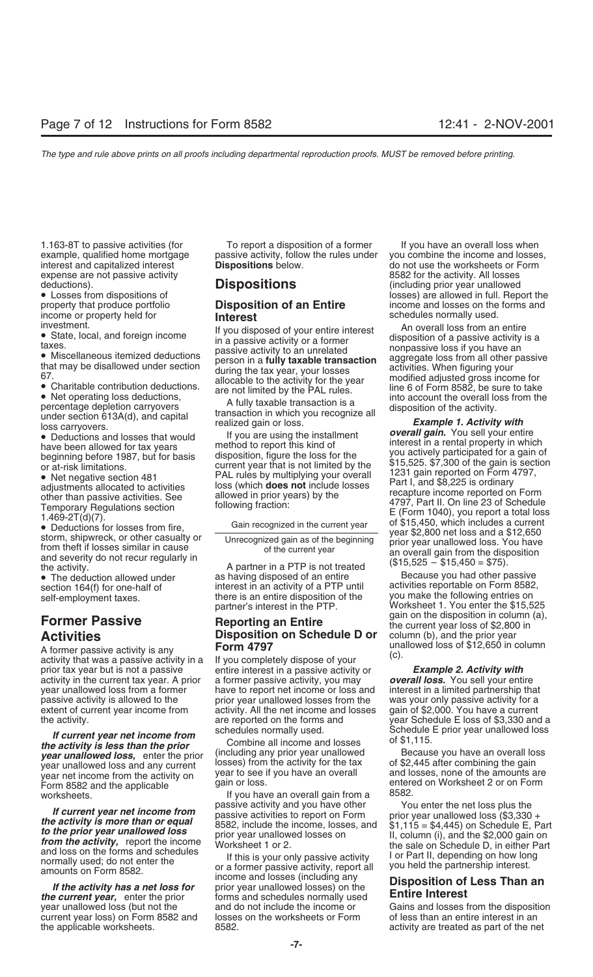expense are not passive activity<br>deductions). **Example 20 in the activity deductions** because the deductions of the activity. All losses

A former passive activity is any **FORM 4797**<br>activity that was a passive activity in a If you completely dispose of your (c). year unallowed loss from a former interest interest income or loss and<br>passive activity is allowed to the interestion year unallowed losses from the

**If current year net income from**<br> **Schedule E prior year unallowed loss**<br> **Schedule E prior year unallowed loss<br>
<b>Schedule E prior year unallowed loss**<br> **Schedule E prior year unallowed loss<br>
of \$1,115.<br>
<b>Schedule E prior** year net income from the activity on the provide and the activity on the activity on the gain or loss.<br>Form 8582 and the applicable gain or loss.<br>Form a 8582.

1.163-8T to passive activities (for To report a disposition of a former If you have an overall loss when example, qualified home mortgage passive activity, follow the rules under you combine the income and losses, interest and capitalized interest **Dispositions** below. do not use the worksheets or Form

• Net negative section 481 **PAL rules by multiplying your overall** and the ported on Form 4797, editions allocated to activities loss (which **does not** include losses Part I, and \$8,225 is ordinary other than passive activ

as having disposed of an entire activity.<br>
• The deduction allowed under as having disposed of an entire Because you had other passive<br>
section 164(f) for one-half of interest in an activity of a PTP until activities repor section 164(f) for one-half of interest in an activity of a PTP until activities reportable on Form 8582,<br>self-employment taxes. There is an entire disposition of the you make the following entries on there is an entire disposition of the partner's interest in the PTP.

# **Activities**<br>A former passive activity is any **Disposition on Schedule D or** column (b), and the prior year<br>**A former passive activity is any Form 4797 Conserved and the prior year**

prior tax year but is not a passive entire interest in a passive activity or *Example 2. Activity with* activity in the current tax year. A prior a former passive activity, you may *overall loss.* You sell your entire extent of current year income from eactivity. All the net income and losses gain of \$2,000. You have a current the activity. <br>schedules normally used. We are Schedule E loss of \$3,330 and a<br>Schedule E prior year unallowed loss

worksheets.<br>If you have an overall gain from a 8582.<br>If oursel uses not income from passive activity and you have other You enter the net loss plus the

current year loss) on Form 8582 and losses on the worksheets or Form of less than an entire interest in an cha<br>the applicable worksheets. The new state of the new states of the new states of the new the applicable worksheets.  $\frac{8582.}{2}$  8582.

deductions). **DISPOSITIONS** (including prior year unallowed<br>• Losses from dispositions of **Disposition of an Entire** losses) are allowed in full. Report the property that produce portfolio property that produce portfolio **Disposition of an Entire** income and losses on the forms and income or property held for **interest interest** 

income or property held for<br>
in the column of the state, local, and foreign income<br>
the state, local, and foreign income<br>
that in a passive activity or a former<br>
that may be disallowed under section<br>
that may be disallowed

• Deductions and losses that would<br>have been allowed for tax years we method to report this kind of<br>beginning before 1987, but for basis disposition, figure the loss for the<br>or at-risk limitations.<br>or at-risk limitations.<br> differ than passive activities. See<br>
Temporary Regulations section<br>
Temporary Regulations section<br>
1.469-2T(d)(7).<br>
■ Deductions for losses from fire,<br>
storm, shipwreck, or other casualty or<br>
the current year see of \$15,4

Worksheet 1. You enter the \$15,525 **Former Passive The Reporting an Entire** The disposition in column (a), **Former Passive Reporting an Entire** the current year loss of \$2,800 in

was your only passive activity for a

If current year net income from<br>the activity is more than or equal<br>to the prior year unallowed loss<br>trom the activity, report the income<br>and loss on the form sand schedules<br>and loss on the forms and schedules<br>and loss on t

year unallowed loss (but not the and do not include the income or Gains and losses from the disposition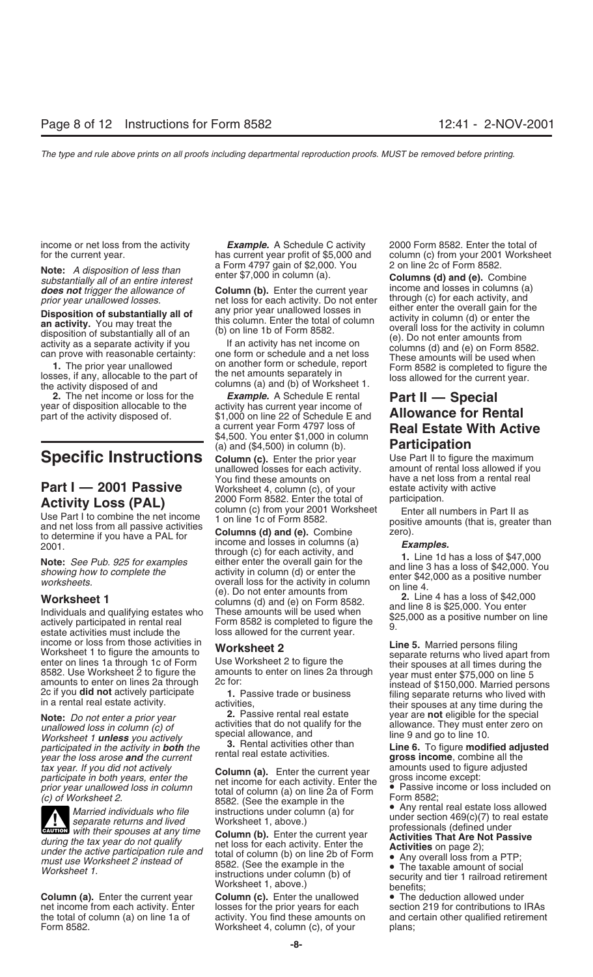a Form 4797 gain of \$2,000. You 2 on line 2c of Form 8582. **Note:** *A disposition of less than* enter \$7,000 in column (a). **Columns (d) and (e).** Combine *substantially all of an entire interest*

1. The prior year unallowed<br>losses, if any, allocable to the part of the net amounts separately in<br>the activity disposed of and columns (a) and (b) of Worksheet 1.<br>the activity disposed of and columns (a) and (b) of Worksh

**Activity Loss (PAL)** 2000 Form 8582. Enter the total of participation.<br>
Use Part I to combine the net income 1 on line 1c of Form 8582.<br>
and net loss from all passive activities columns (d) and (e). Combine and net loss f

activities that do not qualify for the allowance. They must enter zero on *unallowed loss in column (c) of* activities that do not qualify for the allowance. They must enter zero on *unallowed loss in column (c) of* specia Worksheet 1 **unless** you actively<br>
Worksheet 1 **unless** you actively<br>
participated in the activity in **both** the **3.** Rental activities other than<br>
year the loss arose **and** the current rental real estate activities.<br> **Lin** 



**ENTION** with their spouses at any time

**Column (a).** Enter the current year **Column (c).** Enter the unallowed • The deduction allowed under net income from each activity. Enter losses for the prior years for each section 219 for contributions to

income or net loss from the activity *Example.* A Schedule C activity 2000 Form 8582. Enter the total of

*does not trigger the allowance of* **Column (b).** Enter the current year income and losses in columns (a) discussed to the columns of the current year income and losses in columns (a) negativity and containing prior vear u prior year unallowed losses.<br>Diangelitan af explorations of a solution of the any prior year unallowed losses in either enter the overall gain for the

**2.** The net income or loss for the *Example.* A Schedule E rental **Part II — Special** year of disposition allocable to the activity has current year income of part of the activity disposed of. \$1,000 on line 22 of Sched \$1,000 on line 22 of Schedule E and<br>a current year Form 4797 loss of a current year Form 4797 loss of **Real Estate With Active**<br>\$4,500. You enter \$1,000 in column<br>(a) and (\$4,500) in column (b). **Participation** 

(a) and (\$4,500) in column (b). **Participation**<br> **Specific Instructions Column (c).** Enter the prior year Use Part II to figure the maximum<br>
unallowed losses for each activity. amount of rental loss allowed if you unallowed losses for each activity. amount of rental loss allowed if you<br>You find these amounts on have a net loss from a rental real **Part I — 2001 Passive** Worksheet 4, column (c), of your estate activity **Activity I oss (DAI)** 2000 Form 8582. Enter the total of participation.

Note: See Pub. 925 for examples<br>
Note: See Pub. 925 for examples<br>
showing how to complete the<br>
worksheets.<br>
Worksheet 1<br>
Worksheet 1<br>
Cel. Do not enter the overall gain for the<br>
worksheets.<br>
Worksheet 1<br>
Cel. Do not enter

Fracticipate in both years, enter the<br>prior year unallowed loss in column (a). Enter the current year amounts used to figure adjusted<br>prior year unallowed loss in column<br>(c) of Worksheet 2.<br>(c) of Worksheet 2.<br>Married ind

during the tax year do not qualify<br>
under the active participation rule and<br>
must use Worksheet 2 instead of<br>
Worksheet 1.<br>
Worksheet 2 instead of<br>
total of column (b) on line 2b of Form<br>
8582. (See the example in the<br>
wor

Worksheet 4, column  $(c)$ , of your plans;

for the current year. has current year profit of \$5,000 and column (c) from your 2001 Worksheet

**Disposition of substantially all of**<br> **any** prior year unallowed losses in<br> **an activity.** You may treat the<br>
disposition of substantially all of an<br>
disposition of substantially all of an<br>
disposition of substantially al

have a net loss from a rental real<br>estate activity with active

income or loss from those activities in<br>
Worksheet 2<br>
enter on lines 1a through 1c of Form<br>
8582. Use Worksheet 2 to figure the<br>
8582. Use Worksheet 2 to figure the<br>
8582. Use Worksheet 2 to figure the<br>
8582. Use Worksheet **Note:** *Do not enter a prior year* **2.** Passive rental real estate year are **not** eligible for the special **2.** Passive rental real estate year are **not** eligible for the special activities that do not qualify for the all

section 219 for contributions to IRAs the total of column (a) on line 1a of activity. You find these amounts on and certain other qualified retirement<br>Form 8582. **Worksheet 4, column (c), of your** plans;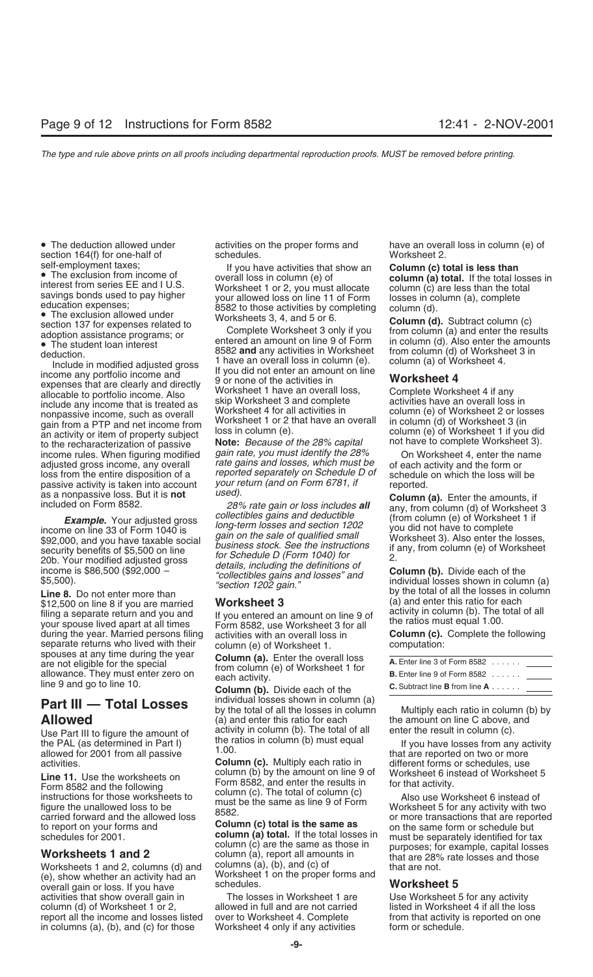section  $164(f)$  for one-half of

**Example:** 1001 adjusted gross long-term losses and section 1202<br>income on line 33 of Form 1040 is gain on the sale of qualified small \$92,000, and you have taxable social gain on the sale of qualified small Worksheet 3). Also enter the losses,<br>security benefits of \$5,500 on line business stock. See the instructions if any, from column (e) of Worksheet<br>2 20b. Your modified adjusted gross<br>income is \$86,500 (\$92,000 – details, including the definitions of

\$12,500 on line 8 if you are married<br>
filing a separate return and you and<br>
you entered an amount on line 9 of<br>
your spouse lived apart at all times<br>
during the year. Married persons filing activities with an overall loss separate returns who lived with their column (e) of Worksheet 1. computation:<br>spouses at any time during the year  $\text{Column}(\Omega)$ . Enter the everal less spouses at any time during the year<br>are not eligible for the special from column (e) of Worksheet 1 for<br>allowance. They must enter zero on each activity.<br>Ine 9 and go to line 10.<br>**Column (b)**. Divide each of the **c.** Subtr

**Line 11.** Use the worksheets on column (b) by the amount on line 9 of Worksheet 6 instead of Worksheet 5<br>
Form 8582 and the following column (c). The total of column (c) and enter the results in for that activity.<br>
instru

Worksheets 1 and 2, columns (d) and columns (a), (b), and (c) or<br>
(e), show whether an activity had an Worksheet 1 on the proper forms and<br>
schedules. overall gain or loss. If you have schedules.<br>
activities that show overall gain in The losses in Worksheet 1 are Use Worksheet 5 for any activity activities that show overall gain in column (d) of Worksheet 1 or 2, allowed in full and are not carried listed in Worksheet 4 if all the loss<br>
report all the income and losses listed over to Worksheet 4. Complete from that activity is reported on one report all the income and losses listed over to Worksheet 4. Complete from that activity is reported on one in columns (a), (b), and (c) for those Worksheet 4 only if any activities form or schedule. in columns (a), (b), and (c) for those Worksheet 4 only if any activities form or schedule.

self-employment taxes;<br>
The exclusion from income of<br>
interest from series E and I U.S.<br>
The exclusion from income of<br>
interest from series E and I U.S.<br>
Subsected to provide the correlation of the total losses in<br>
educati

to the recharacterization of passive<br>income rules. When figuring modified *gain rate, you must identify the 28%* On Worksheet 4, enter the name<br>adjusted gross income, any overall rate gains and losses, which must be of eac loss from the entire disposition of a reported separately on Schedule D of schedule on which the loss will be<br>passive activity is taken into account your return (and on Form 6781, if reported passive activity is taken into account your return (and on Form 6781, if reported.<br>as a nonpassive loss. But it is **not** used).

*Example.* Your adjusted gross *collectibles gains and deductible* (from column (e) of Worksheet 1 if

**Part III — Total Losses** individual losses shown in column (a)<br>by the total of all the losses in column Multiply each ratio in column (b) by<br>(a) and enter this ratio for each the amount on line C above, and (a) and enter this ratio for each the amount on line C above, and activity in column (b). The total of all enter the result in column (c). Use Part III to figure the amount of activity in column (b). The total of all enter the result in column (c).<br>the PAL (as determined in Part I) the ratios in column (b) must equal the reported on two or more<br>allowed for 20

schedules for 2001.<br>
Schedules for 2001.<br>
Schedules for 2001.<br>
Column (a) total. If the total losses in must be separately identified for tax<br>
column (a), report all amounts in<br>
Worksheets 1 and 2, columns (d) and columns

• The deduction allowed under activities on the proper forms and have an overall loss in column (e) of section 164(f) for one-half of schedules.

as a nonpassive loss. But it is **not** *used).*<br>
included on Form 8582. *28% rate gain or loss includes all* any, from column (d) of Worksheet 3<br> **Column** (e) of Worksheet 1 if

 $\frac{100}{200}$ . Tour modified adjusted gross details, including the definitions of<br>  $\frac{100}{200}$ . The is \$86,500 (\$92,000 – "collectibles gains and losses" and column (b). Divide each of the<br>  $\frac{100}{200}$  section 1202 ga

| <b>A.</b> Enter line 3 of Form $8582$          |  |
|------------------------------------------------|--|
| <b>B.</b> Enter line 9 of Form $8582$          |  |
| <b>C.</b> Subtract line <b>B</b> from line $A$ |  |

allowed for 2001 from all passive<br>activities.<br>**Column (c).** Multiply each ratio in different forms or schedules, use<br>**Line 11** Lise the worksheets on column (b) by the amount on line 9 of Worksheet 6 instead of Worksheet 5

carried forward and the allowed loss column (c) total is the same as or more transactions that are reported<br>to report on your forms and **Column (c) total is the same as** on the same form or schedule but<br>schedules for 2001.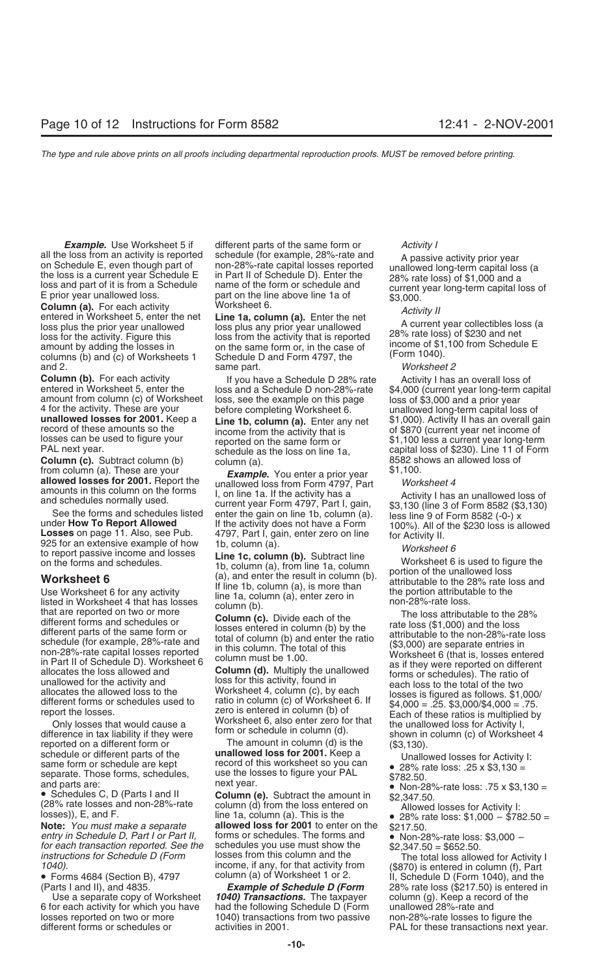**Column (a).** For each activity Worksheet 6.<br>
entered in Worksheet 5, enter the net **Line 1a, column (a).** Enter the net *Activity II*<br>
loss plus the prior year unallowed loss plus any prior year unallowed and the activity loss for the activity. Figure this loss from the activity that is reported amount by adding the losses in on the same form or, in the case of income of \$1,100 from Schedule E columns (b) and (c) of Worksheets 1 Schedule D columns (b) and (c) of Worksheets 1 and 2. same part. *Worksheet 2*

**Column (c).** Subtract column (b) column (a). 8582 shows an allowed loss of trom column (a). 8582 shows an allowed loss of from column (a). 8582 shows an allowed loss of from column (a). 8582 shows an allowed loss of from from column (a). These are your<br> **Example.** You enter a prior year **allowed losses for 2001.** Report the unallowed loss from Form 4797, Part *Worksheet 4*<br>
amounts in this column on the forms I, on line 1a. If the activity

different forms and schedules or<br>
different parts of the same form or<br>
schedule (for example, 28%-rate and<br>
non-28%-rate capital losses reported<br>
in this column (b) and enter the ratio<br>
(\$3,000) are separate entries in<br>
(\$

difference in tax liability if they were<br>reported on a different form or The amount in column (d) is the (\$3,130).<br>schedule or different parts of the **unallowed loss for 2001.** Keep a schedule or different parts of the<br>same form or schedule are kept<br>separate. Those forms, schedules,<br>and parts are:<br><br>Column (e). Subtract the amount in<br>(28% rate losses and non-28%-rate<br>(28% rate losses and non-28%-rate<br>(28

*entry in Schedule D, Part I or Part II,* forms or schedules. The forms and **•** Non-28%-rate loss: \$3,000 – *for each transaction reported. See the* schedules you use must show the *\$2,347.50 = \$652.50.*<br>*instructions for* 

6 for each activity for which you have had the following Schedule D (Form unallowed 28%-rate and losses reported on two or more 1040) transactions from two passive non-28%-rate losses to figure the different forms or schedules or activities in 2001.

**Example.** Use Worksheet 5 if different parts of the same form or *Activity I* all the loss from an activity is reported<br>
on Schedule E, even though part of<br>
the loss is a current year Schedule E<br>
loss and part of it is from a Schedule E<br>
loss and part of it is from a Schedule<br>
E prior year unallowed

amounts in this column on the forms<br>and schedules normally used.<br>
See the forms and schedules insted.<br>
See the forms and schedules issted enter the gain on line 16. plumn (a).<br>
See the forms and schedules listed enter the

Note: *You must make a separate* allowed loss for 2001 to enter on the \$217.50.<br> **Note:** *You must make a separate* **allowed loss for 2001** to enter on the \$217.50.<br> *entry in Schedule D, Part I or Part II,* forms or sched *instructions for Schedule D (Form* losses from this column and the The total loss allowed for Activity I<br>1040). income, if any, for that activity from (\$870) is entered in column (f), Part<br>Forms 4684 (Section B), 4797 col

1040) Transactions. The taxpayer

**Column (b).** For each activity the loss and a Schedule D 28% rate activity I has an overall loss of entered in Worksheet 5, enter the loss and a Schedule D non-28%-rate \$4,000 (current year long-term capital amount from c

allocates the allowed loss to the<br>different forms or schedules used to<br>report the losses.<br>Teport the losses is figured as follows. \$1,000/<br>report the losses.<br>Teport the losses is figured as follows. \$1,000/<br>Teport the loss

- 
- 

- 
- 

• Forms 4684 (Section B), 4797 column (a) of Worksheet 1 or 2. II, Schedule D (Form 1040), and the column (a) of Worksheet 1 or 2. II, Schedule D (Form 1040), and the column (a) of Worksheet 1 or 2. II, Schedule D (Form 10 arts I and II), and 4835. **Example of Schedule D (Form** 28% rate loss (\$217.50) is entered in<br>Use a separate copy of Worksheet 1040) Transactions. The taxpayer column (g). Keep a record of the PAL for these transactions next year.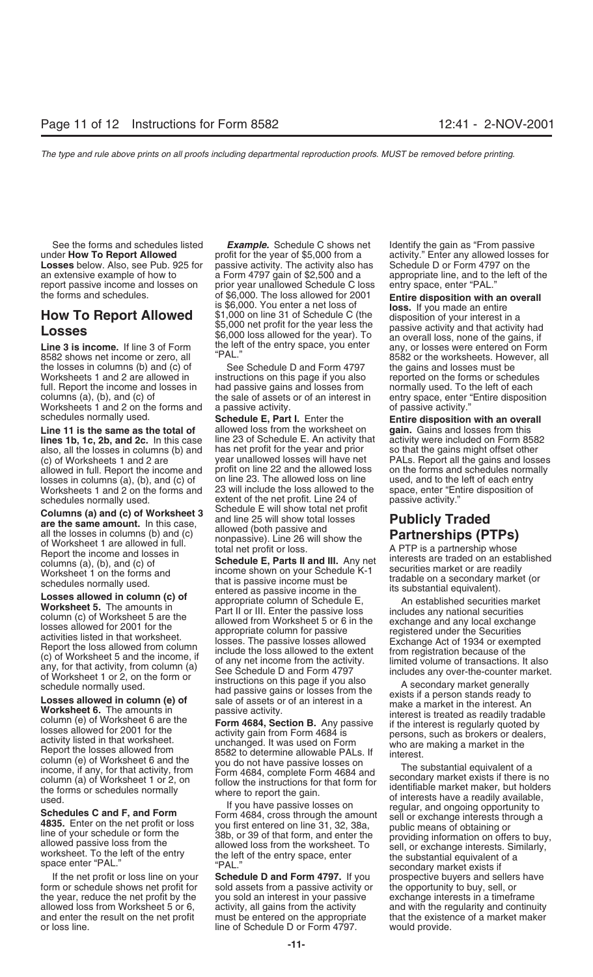under **How To Report Allowed** profit for the year of \$5,000 from a activity." Enter any allowed losses for **Losses** below. Also, see Pub. 925 for passive activity. The activity also has Schedule D or Form 4797 on the an extensive example of how to a Form 4797 gain of \$2,500 and a appropriate line, and to the left of the report passive income and losses on prior year unallowed Schedule C loss entry space, enter "PAL."<br>the forms and schedules. of \$6,000. The loss allowed for 2001 **Follogy Formation with** 

the losses in columns (b) and  $(c)$  of Worksheets 1 and 2 are allowed in instructions on this page if you also reported on the forms or schedules full. Report the income and losses in had passive gains and losses from normally used. To the left of each columns (a), (b), and (c) of the sale of assets or of an interest in entry space, enter "Entire disposition Worksheets 1 and 2 on the forms and a passive activity. Worksheets 1 and 2 on the forms and a passive activity.<br>
schedules normally used. **Schedule E. Part** 

**Line 11 is the same as the total of** allowed loss from the worksheet on **gain in the same as the top** allowed on the same that ince **20.** and 2c. In this case **during 23** of Schedule E. An activity that **lines 1b, 1c, 2b, and 2c.** In this case line 23 of Schedule E. An activity that activity were included on Form 8582 also, all the losses in columns (b) and has net profit for the year and prior so that the gains might off also, all the losses in columns (b) and has net profit for the year and prior so that the gains might offset other<br>(c) of Worksheets 1 and 2 are year unallowed losses will have net PALs. Report all the gains and loss (c) of Worksheets 1 and 2 are year unallowed losses will have net PALs. Report all the gains and losses allowed in full. Report the income and profit on line 22 and the allowed loss on the forms and schedules normally allowed in full. Report the income and profit on line 22 and the allowed loss on the forms and schedules norm<br>losses in columns (a), (b), and (c) of on line 23. The allowed loss on line used, and to the left of each entry losses in columns (a), (b), and (c) of con line 23. The allowed loss on line used, and to the left of each entry<br>Worksheets 1 and 2 on the forms and 23 will include the loss allowed to the space, enter "Entire disposition Worksheets 1 and 2 on the forms and 23 will include the loss allowed to schedules normally used.

Columns (a) and (c) of worksheet 3<br>
and line 25 will show total losses<br>
all the losses in columns (b) and (c)<br>
of Worksheet 1 are allowed in full.<br>
Report the income and losses in<br>
columns (a), (b), and (c) of<br>
Schedule E

See the forms and schedules listed *Example.* Schedule C shows net Identify the gain as "From passive the forms and schedules. The set of \$6,000. The loss allowed for 2001<br>
is \$6,000. You enter a net loss of<br> **How To Report Allowed** \$1,000 on line 31 of Schedule C (the disposition of your interest in a<br>
\$5,000 net profit f

**Schedule E, Part I.** Enter the **Entire disposition with an overall** allowed loss from the worksheet on **gain.** Gains and losses from this schedules normally used. extent of the net profit. Line 24 of passive activity."<br> **Columns (a) and (c) of Worksheet 3** Schedule E will show total net profit<br> **Publicly Traded** are the same amount In this case

someonion in eactive that the there is a baskive income in the lits substantial equivalent). Coses allowed in column (c) of an appropriate column of Schedule E. The ansible securities market Worksheet 5. The announts in Pa

If the net profit or loss line on your **Schedule D and Form 4797.** If you prospective buyers and sellers have form or schedule shows net profit for sold assets from a passive activity or the opportunity to buy, sell, or the year, reduce the net profit by the you sold an interest in your passive exchange interests in a timeframe allowed loss from Worksheet 5 or 6, activity, all gains from the activity and with the regularity and continuity and enter the result on the net profit must be entered on the appropriate that the existence of a market maker or loss line. line of Schedule D or Form 4797. would provide.

ECCCCC<br>Line 3 is income. If line 3 of Form the left of the entry space, you enter any, or losses were entered on Form<br>8582 shows net income or zero, all "PAL." 8582 or the worksheets. However, all <sup>8582</sup> or the worksheets. However, all "PAL."<br>See Schedule D and Form 4797 " the gains and losses must be